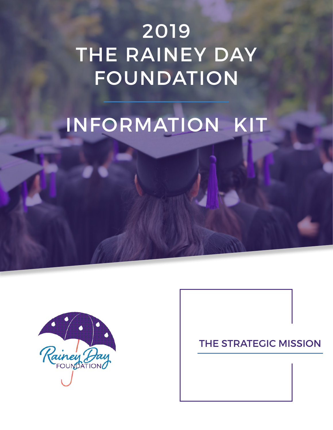## 2019 THE RAINEY DAY FOUNDATION

# INFORMATION KIT



#### THE STRATEGIC MISSION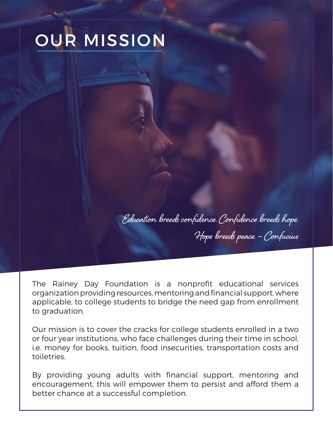# OUR MISSION

Education breeds confidence. Confidence breeds hope. Hope breeds peace. – Confucius

The Rainey Day Foundation is a nonprofit educational services organization providing resources, mentoring and financial support, where applicable, to college students to bridge the need gap from enrollment to graduation.

Our mission is to cover the cracks for college students enrolled in a two or four year institutions, who face challenges during their time in school, i.e. money for books, tuition, food insecurities, transportation costs and toiletries.

By providing young adults with financial support, mentoring and encouragement, this will empower them to persist and afford them a better chance at a successful completion.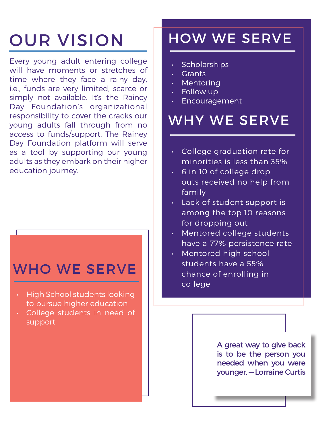## OUR VISION

Every young adult entering college will have moments or stretches of time where they face a rainy day, i.e., funds are very limited, scarce or simply not available. It's the Rainey Day Foundation's organizational responsibility to cover the cracks our young adults fall through from no access to funds/support. The Rainey Day Foundation platform will serve as a tool by supporting our young adults as they embark on their higher education journey.

### WHO WE SERVE

- High School students looking to pursue higher education
- College students in need of support

### HOW WE SERVE

- Scholarships
- Grants
- Mentoring
- Follow up
- Encouragement

### WHY WE SERVE

- College graduation rate for minorities is less than 35%
- 6 in 10 of college drop outs received no help from family
- Lack of student support is among the top 10 reasons for dropping out
- Mentored college students have a 77% persistence rate
- Mentored high school students have a 55% chance of enrolling in college

A great way to give back is to be the person you needed when you were younger. — Lorraine Curtis